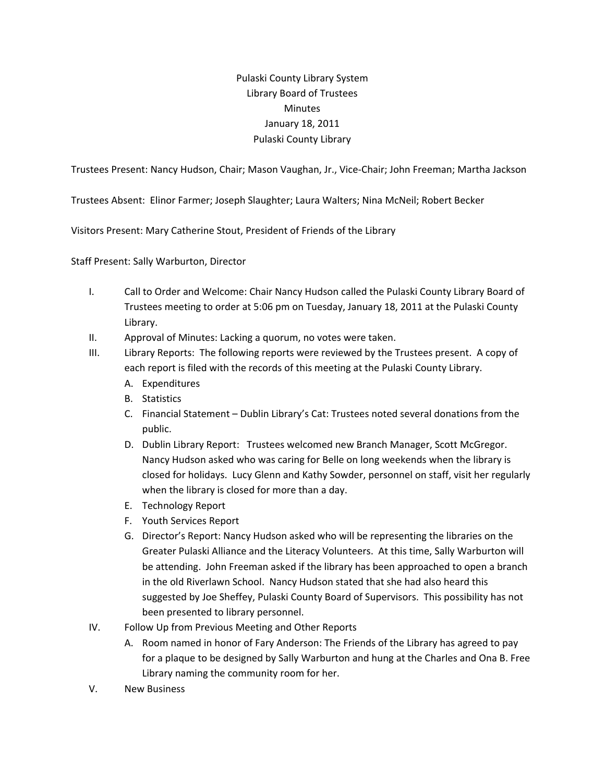## Pulaski County Library System Library Board of Trustees Minutes January 18, 2011 Pulaski County Library

Trustees Present: Nancy Hudson, Chair; Mason Vaughan, Jr., Vice‐Chair; John Freeman; Martha Jackson

Trustees Absent: Elinor Farmer; Joseph Slaughter; Laura Walters; Nina McNeil; Robert Becker

Visitors Present: Mary Catherine Stout, President of Friends of the Library

Staff Present: Sally Warburton, Director

- I. Call to Order and Welcome: Chair Nancy Hudson called the Pulaski County Library Board of Trustees meeting to order at 5:06 pm on Tuesday, January 18, 2011 at the Pulaski County Library.
- II. Approval of Minutes: Lacking a quorum, no votes were taken.
- III. Library Reports: The following reports were reviewed by the Trustees present. A copy of each report is filed with the records of this meeting at the Pulaski County Library.
	- A. Expenditures
	- B. Statistics
	- C. Financial Statement Dublin Library's Cat: Trustees noted several donations from the public.
	- D. Dublin Library Report: Trustees welcomed new Branch Manager, Scott McGregor. Nancy Hudson asked who was caring for Belle on long weekends when the library is closed for holidays. Lucy Glenn and Kathy Sowder, personnel on staff, visit her regularly when the library is closed for more than a day.
	- E. Technology Report
	- F. Youth Services Report
	- G. Director's Report: Nancy Hudson asked who will be representing the libraries on the Greater Pulaski Alliance and the Literacy Volunteers. At this time, Sally Warburton will be attending. John Freeman asked if the library has been approached to open a branch in the old Riverlawn School. Nancy Hudson stated that she had also heard this suggested by Joe Sheffey, Pulaski County Board of Supervisors. This possibility has not been presented to library personnel.
- IV. Follow Up from Previous Meeting and Other Reports
	- A. Room named in honor of Fary Anderson: The Friends of the Library has agreed to pay for a plaque to be designed by Sally Warburton and hung at the Charles and Ona B. Free Library naming the community room for her.
- V. New Business